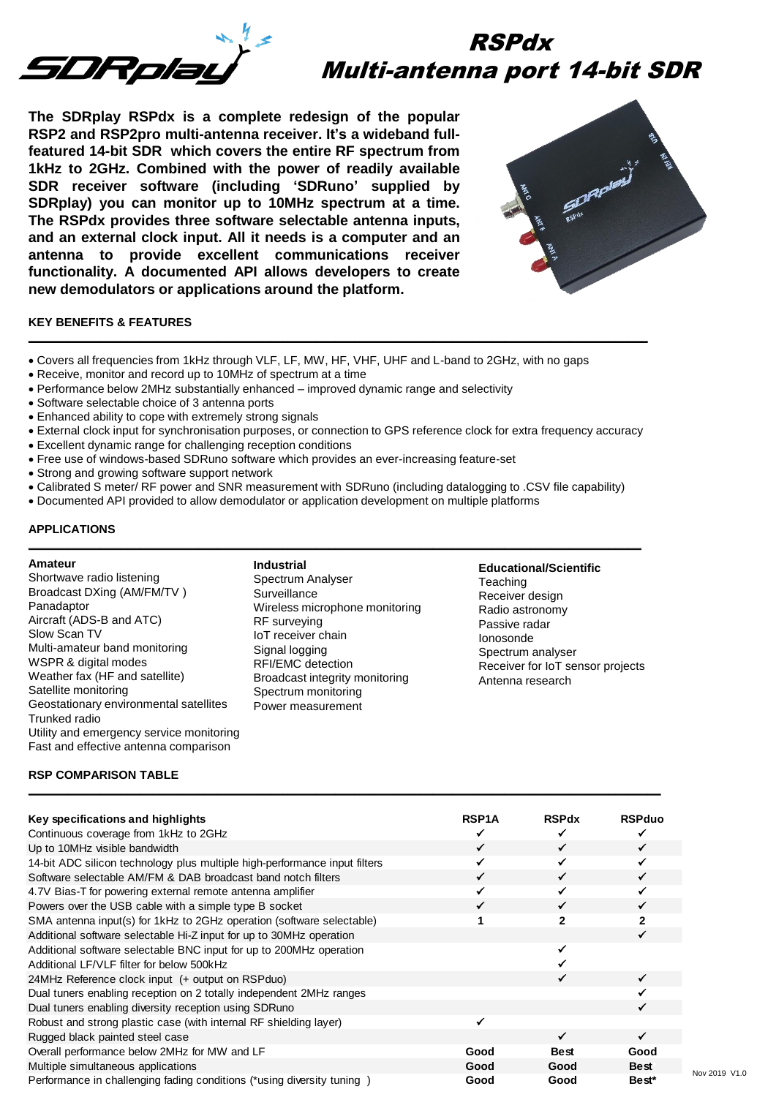

# RSPdx Multi-antenna port 14-bit SDR

**The SDRplay RSPdx is a complete redesign of the popular RSP2 and RSP2pro multi-antenna receiver. It's a wideband fullfeatured 14-bit SDR which covers the entire RF spectrum from 1kHz to 2GHz. Combined with the power of readily available SDR receiver software (including 'SDRuno' supplied by SDRplay) you can monitor up to 10MHz spectrum at a time. The RSPdx provides three software selectable antenna inputs, and an external clock input. All it needs is a computer and an antenna to provide excellent communications receiver functionality. A documented API allows developers to create new demodulators or applications around the platform.**



# **KEY BENEFITS & FEATURES**

- Covers all frequencies from 1kHz through VLF, LF, MW, HF, VHF, UHF and L-band to 2GHz, with no gaps
- Receive, monitor and record up to 10MHz of spectrum at a time
- Performance below 2MHz substantially enhanced improved dynamic range and selectivity
- Software selectable choice of 3 antenna ports
- Enhanced ability to cope with extremely strong signals
- External clock input for synchronisation purposes, or connection to GPS reference clock for extra frequency accuracy

**\_\_\_\_\_\_\_\_\_\_\_\_\_\_\_\_\_\_\_\_\_\_\_\_\_\_\_\_\_\_\_\_\_\_\_\_\_\_\_\_\_\_\_\_\_\_\_\_\_\_\_\_\_\_\_\_\_\_\_\_\_\_\_\_\_\_\_\_\_\_\_\_\_\_\_\_\_\_\_\_\_\_\_\_\_\_\_\_\_\_\_\_\_\_\_** 

- Excellent dynamic range for challenging reception conditions
- Free use of windows-based SDRuno software which provides an ever-increasing feature-set
- Strong and growing software support network
- Calibrated S meter/ RF power and SNR measurement with SDRuno (including datalogging to .CSV file capability)
- Documented API provided to allow demodulator or application development on multiple platforms

#### **APPLICATIONS**

#### **Amateur**

Shortwave radio listening Broadcast DXing (AM/FM/TV ) Panadaptor Aircraft (ADS-B and ATC) Slow Scan TV Multi-amateur band monitoring WSPR & digital modes Weather fax (HF and satellite) Satellite monitoring Geostationary environmental satellites Trunked radio Utility and emergency service monitoring Fast and effective antenna comparison

**Industrial** Spectrum Analyser **Surveillance** Wireless microphone monitoring RF surveying IoT receiver chain Signal logging RFI/EMC detection Broadcast integrity monitoring Spectrum monitoring Power measurement

**\_\_\_\_\_\_\_\_\_\_\_\_\_\_\_\_\_\_\_\_\_\_\_\_\_\_\_\_\_\_\_\_\_\_\_\_\_\_\_\_\_\_\_\_\_\_\_\_\_\_\_\_\_\_\_\_\_\_\_\_\_\_\_\_\_\_\_\_\_\_\_\_\_\_\_\_\_\_\_\_\_\_\_\_\_\_\_\_\_\_\_\_\_\_** 

**Educational/Scientific Teaching** Receiver design Radio astronomy Passive radar Ionosonde Spectrum analyser Receiver for IoT sensor projects Antenna research

#### **RSP COMPARISON TABLE \_\_\_\_\_\_\_\_\_\_\_\_\_\_\_\_\_\_\_\_\_\_\_\_\_\_\_\_\_\_\_\_\_\_\_\_\_\_\_\_\_\_\_\_\_\_\_\_\_\_\_\_\_\_\_\_\_\_\_\_\_\_\_\_\_\_\_\_\_\_\_\_\_\_\_\_\_\_\_\_\_\_\_\_\_\_\_\_\_\_\_\_\_\_\_\_\_**

| Key specifications and highlights                                          | <b>RSP1A</b> | <b>RSPdx</b> | <b>RSPduo</b>     |
|----------------------------------------------------------------------------|--------------|--------------|-------------------|
| Continuous coverage from 1kHz to 2GHz                                      |              |              |                   |
| Up to 10MHz visible bandwidth                                              | ✓            |              | ✓                 |
| 14-bit ADC silicon technology plus multiple high-performance input filters |              |              | ✔                 |
| Software selectable AM/FM & DAB broadcast band notch filters               | ✓            |              | ✓                 |
| 4.7V Bias-T for powering external remote antenna amplifier                 |              |              | ✓                 |
| Powers over the USB cable with a simple type B socket                      | ✓            |              | ✓                 |
| SMA antenna input(s) for 1kHz to 2GHz operation (software selectable)      |              | $\mathbf{2}$ | $\mathbf{2}$      |
| Additional software selectable Hi-Z input for up to 30MHz operation        |              |              | ✓                 |
| Additional software selectable BNC input for up to 200MHz operation        |              |              |                   |
| Additional LF/VLF filter for below 500kHz                                  |              |              |                   |
| 24MHz Reference clock input (+ output on RSPduo)                           |              |              | ✔                 |
| Dual tuners enabling reception on 2 totally independent 2MHz ranges        |              |              |                   |
| Dual tuners enabling diversity reception using SDRuno                      |              |              |                   |
| Robust and strong plastic case (with internal RF shielding layer)          |              |              |                   |
| Rugged black painted steel case                                            |              | ✓            | ✓                 |
| Overall performance below 2MHz for MW and LF                               | Good         | Best         | Good              |
| Multiple simultaneous applications                                         | Good         | Good         | <b>Best</b>       |
| Performance in challenging fading conditions (*using diversity tuning )    | Good         | Good         | Best <sup>*</sup> |